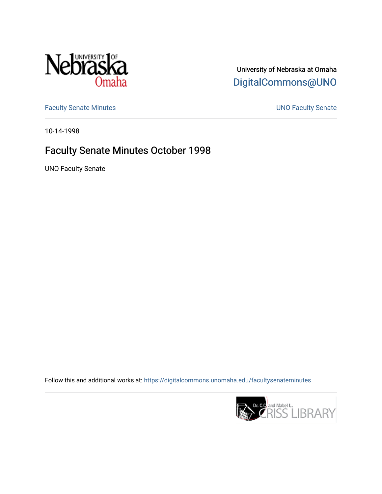

University of Nebraska at Omaha [DigitalCommons@UNO](https://digitalcommons.unomaha.edu/) 

[Faculty Senate Minutes](https://digitalcommons.unomaha.edu/facultysenateminutes) **Exercise Senate UNO Faculty Senate** 

10-14-1998

## Faculty Senate Minutes October 1998

UNO Faculty Senate

Follow this and additional works at: [https://digitalcommons.unomaha.edu/facultysenateminutes](https://digitalcommons.unomaha.edu/facultysenateminutes?utm_source=digitalcommons.unomaha.edu%2Ffacultysenateminutes%2F63&utm_medium=PDF&utm_campaign=PDFCoverPages) 

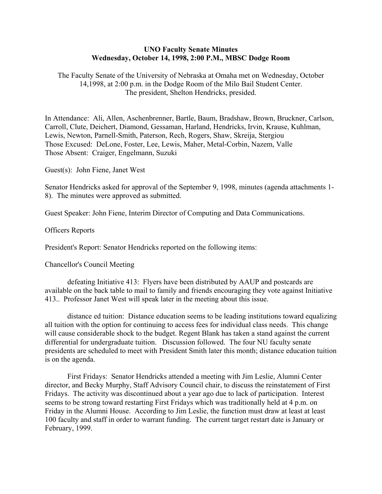## **UNO Faculty Senate Minutes Wednesday, October 14, 1998, 2:00 P.M., MBSC Dodge Room**

The Faculty Senate of the University of Nebraska at Omaha met on Wednesday, October 14,1998, at 2:00 p.m. in the Dodge Room of the Milo Bail Student Center. The president, Shelton Hendricks, presided.

In Attendance: Ali, Allen, Aschenbrenner, Bartle, Baum, Bradshaw, Brown, Bruckner, Carlson, Carroll, Clute, Deichert, Diamond, Gessaman, Harland, Hendricks, Irvin, Krause, Kuhlman, Lewis, Newton, Parnell-Smith, Paterson, Rech, Rogers, Shaw, Skreija, Stergiou Those Excused: DeLone, Foster, Lee, Lewis, Maher, Metal-Corbin, Nazem, Valle Those Absent: Craiger, Engelmann, Suzuki

Guest(s): John Fiene, Janet West

Senator Hendricks asked for approval of the September 9, 1998, minutes (agenda attachments 1- 8). The minutes were approved as submitted.

Guest Speaker: John Fiene, Interim Director of Computing and Data Communications.

Officers Reports

President's Report: Senator Hendricks reported on the following items:

Chancellor's Council Meeting

 defeating Initiative 413: Flyers have been distributed by AAUP and postcards are available on the back table to mail to family and friends encouraging they vote against Initiative 413.. Professor Janet West will speak later in the meeting about this issue.

 distance ed tuition: Distance education seems to be leading institutions toward equalizing all tuition with the option for continuing to access fees for individual class needs. This change will cause considerable shock to the budget. Regent Blank has taken a stand against the current differential for undergraduate tuition. Discussion followed. The four NU faculty senate presidents are scheduled to meet with President Smith later this month; distance education tuition is on the agenda.

 First Fridays: Senator Hendricks attended a meeting with Jim Leslie, Alumni Center director, and Becky Murphy, Staff Advisory Council chair, to discuss the reinstatement of First Fridays. The activity was discontinued about a year ago due to lack of participation. Interest seems to be strong toward restarting First Fridays which was traditionally held at 4 p.m. on Friday in the Alumni House. According to Jim Leslie, the function must draw at least at least 100 faculty and staff in order to warrant funding. The current target restart date is January or February, 1999.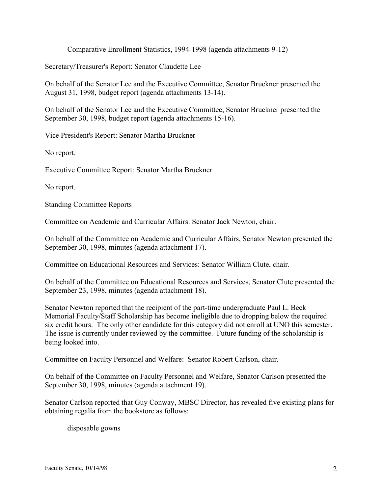Comparative Enrollment Statistics, 1994-1998 (agenda attachments 9-12)

Secretary/Treasurer's Report: Senator Claudette Lee

On behalf of the Senator Lee and the Executive Committee, Senator Bruckner presented the August 31, 1998, budget report (agenda attachments 13-14).

On behalf of the Senator Lee and the Executive Committee, Senator Bruckner presented the September 30, 1998, budget report (agenda attachments 15-16).

Vice President's Report: Senator Martha Bruckner

No report.

Executive Committee Report: Senator Martha Bruckner

No report.

Standing Committee Reports

Committee on Academic and Curricular Affairs: Senator Jack Newton, chair.

On behalf of the Committee on Academic and Curricular Affairs, Senator Newton presented the September 30, 1998, minutes (agenda attachment 17).

Committee on Educational Resources and Services: Senator William Clute, chair.

On behalf of the Committee on Educational Resources and Services, Senator Clute presented the September 23, 1998, minutes (agenda attachment 18).

Senator Newton reported that the recipient of the part-time undergraduate Paul L. Beck Memorial Faculty/Staff Scholarship has become ineligible due to dropping below the required six credit hours. The only other candidate for this category did not enroll at UNO this semester. The issue is currently under reviewed by the committee. Future funding of the scholarship is being looked into.

Committee on Faculty Personnel and Welfare: Senator Robert Carlson, chair.

On behalf of the Committee on Faculty Personnel and Welfare, Senator Carlson presented the September 30, 1998, minutes (agenda attachment 19).

Senator Carlson reported that Guy Conway, MBSC Director, has revealed five existing plans for obtaining regalia from the bookstore as follows:

disposable gowns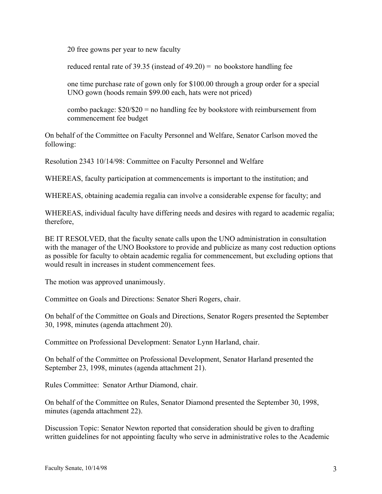20 free gowns per year to new faculty

reduced rental rate of 39.35 (instead of  $49.20$ ) = no bookstore handling fee

one time purchase rate of gown only for \$100.00 through a group order for a special UNO gown (hoods remain \$99.00 each, hats were not priced)

combo package:  $$20$ / $$20 =$  no handling fee by bookstore with reimbursement from commencement fee budget

On behalf of the Committee on Faculty Personnel and Welfare, Senator Carlson moved the following:

Resolution 2343 10/14/98: Committee on Faculty Personnel and Welfare

WHEREAS, faculty participation at commencements is important to the institution; and

WHEREAS, obtaining academia regalia can involve a considerable expense for faculty; and

WHEREAS, individual faculty have differing needs and desires with regard to academic regalia; therefore,

BE IT RESOLVED, that the faculty senate calls upon the UNO administration in consultation with the manager of the UNO Bookstore to provide and publicize as many cost reduction options as possible for faculty to obtain academic regalia for commencement, but excluding options that would result in increases in student commencement fees.

The motion was approved unanimously.

Committee on Goals and Directions: Senator Sheri Rogers, chair.

On behalf of the Committee on Goals and Directions, Senator Rogers presented the September 30, 1998, minutes (agenda attachment 20).

Committee on Professional Development: Senator Lynn Harland, chair.

On behalf of the Committee on Professional Development, Senator Harland presented the September 23, 1998, minutes (agenda attachment 21).

Rules Committee: Senator Arthur Diamond, chair.

On behalf of the Committee on Rules, Senator Diamond presented the September 30, 1998, minutes (agenda attachment 22).

Discussion Topic: Senator Newton reported that consideration should be given to drafting written guidelines for not appointing faculty who serve in administrative roles to the Academic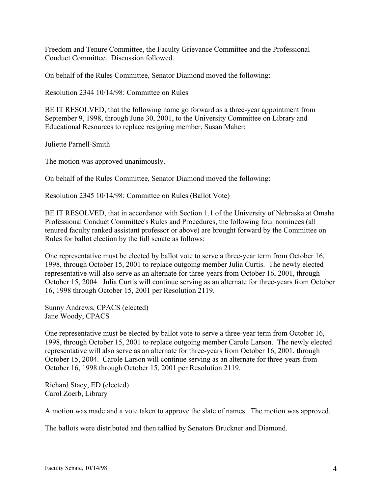Freedom and Tenure Committee, the Faculty Grievance Committee and the Professional Conduct Committee. Discussion followed.

On behalf of the Rules Committee, Senator Diamond moved the following:

Resolution 2344 10/14/98: Committee on Rules

BE IT RESOLVED, that the following name go forward as a three-year appointment from September 9, 1998, through June 30, 2001, to the University Committee on Library and Educational Resources to replace resigning member, Susan Maher:

Juliette Parnell-Smith

The motion was approved unanimously.

On behalf of the Rules Committee, Senator Diamond moved the following:

Resolution 2345 10/14/98: Committee on Rules (Ballot Vote)

BE IT RESOLVED, that in accordance with Section 1.1 of the University of Nebraska at Omaha Professional Conduct Committee's Rules and Procedures, the following four nominees (all tenured faculty ranked assistant professor or above) are brought forward by the Committee on Rules for ballot election by the full senate as follows:

One representative must be elected by ballot vote to serve a three-year term from October 16, 1998, through October 15, 2001 to replace outgoing member Julia Curtis. The newly elected representative will also serve as an alternate for three-years from October 16, 2001, through October 15, 2004. Julia Curtis will continue serving as an alternate for three-years from October 16, 1998 through October 15, 2001 per Resolution 2119.

Sunny Andrews, CPACS (elected) Jane Woody, CPACS

One representative must be elected by ballot vote to serve a three-year term from October 16, 1998, through October 15, 2001 to replace outgoing member Carole Larson. The newly elected representative will also serve as an alternate for three-years from October 16, 2001, through October 15, 2004. Carole Larson will continue serving as an alternate for three-years from October 16, 1998 through October 15, 2001 per Resolution 2119.

Richard Stacy, ED (elected) Carol Zoerb, Library

A motion was made and a vote taken to approve the slate of names. The motion was approved.

The ballots were distributed and then tallied by Senators Bruckner and Diamond.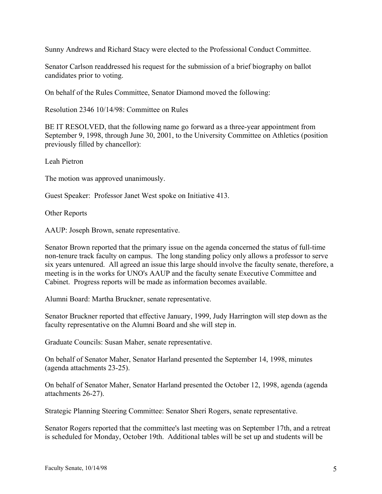Sunny Andrews and Richard Stacy were elected to the Professional Conduct Committee.

Senator Carlson readdressed his request for the submission of a brief biography on ballot candidates prior to voting.

On behalf of the Rules Committee, Senator Diamond moved the following:

Resolution 2346 10/14/98: Committee on Rules

BE IT RESOLVED, that the following name go forward as a three-year appointment from September 9, 1998, through June 30, 2001, to the University Committee on Athletics (position previously filled by chancellor):

Leah Pietron

The motion was approved unanimously.

Guest Speaker: Professor Janet West spoke on Initiative 413.

Other Reports

AAUP: Joseph Brown, senate representative.

Senator Brown reported that the primary issue on the agenda concerned the status of full-time non-tenure track faculty on campus. The long standing policy only allows a professor to serve six years untenured. All agreed an issue this large should involve the faculty senate, therefore, a meeting is in the works for UNO's AAUP and the faculty senate Executive Committee and Cabinet. Progress reports will be made as information becomes available.

Alumni Board: Martha Bruckner, senate representative.

Senator Bruckner reported that effective January, 1999, Judy Harrington will step down as the faculty representative on the Alumni Board and she will step in.

Graduate Councils: Susan Maher, senate representative.

On behalf of Senator Maher, Senator Harland presented the September 14, 1998, minutes (agenda attachments 23-25).

On behalf of Senator Maher, Senator Harland presented the October 12, 1998, agenda (agenda attachments 26-27).

Strategic Planning Steering Committee: Senator Sheri Rogers, senate representative.

Senator Rogers reported that the committee's last meeting was on September 17th, and a retreat is scheduled for Monday, October 19th. Additional tables will be set up and students will be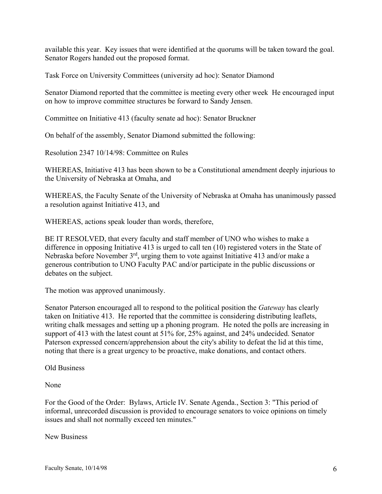available this year. Key issues that were identified at the quorums will be taken toward the goal. Senator Rogers handed out the proposed format.

Task Force on University Committees (university ad hoc): Senator Diamond

Senator Diamond reported that the committee is meeting every other week He encouraged input on how to improve committee structures be forward to Sandy Jensen.

Committee on Initiative 413 (faculty senate ad hoc): Senator Bruckner

On behalf of the assembly, Senator Diamond submitted the following:

Resolution 2347 10/14/98: Committee on Rules

WHEREAS, Initiative 413 has been shown to be a Constitutional amendment deeply injurious to the University of Nebraska at Omaha, and

WHEREAS, the Faculty Senate of the University of Nebraska at Omaha has unanimously passed a resolution against Initiative 413, and

WHEREAS, actions speak louder than words, therefore,

BE IT RESOLVED, that every faculty and staff member of UNO who wishes to make a difference in opposing Initiative 413 is urged to call ten (10) registered voters in the State of Nebraska before November 3rd, urging them to vote against Initiative 413 and/or make a generous contribution to UNO Faculty PAC and/or participate in the public discussions or debates on the subject.

The motion was approved unanimously.

Senator Paterson encouraged all to respond to the political position the *Gateway* has clearly taken on Initiative 413. He reported that the committee is considering distributing leaflets, writing chalk messages and setting up a phoning program. He noted the polls are increasing in support of 413 with the latest count at 51% for, 25% against, and 24% undecided. Senator Paterson expressed concern/apprehension about the city's ability to defeat the lid at this time, noting that there is a great urgency to be proactive, make donations, and contact others.

Old Business

None

For the Good of the Order: Bylaws, Article IV. Senate Agenda., Section 3: "This period of informal, unrecorded discussion is provided to encourage senators to voice opinions on timely issues and shall not normally exceed ten minutes."

New Business